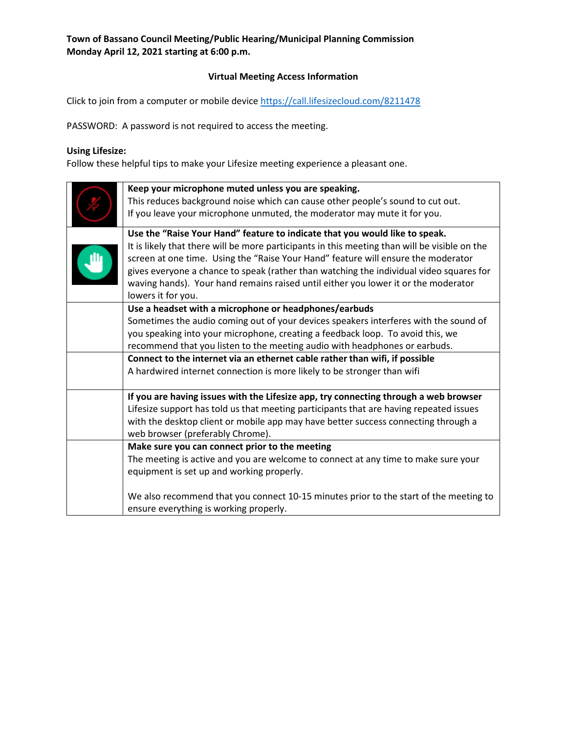### **Virtual Meeting Access Information**

Click to join from a computer or mobile device<https://call.lifesizecloud.com/8211478>

PASSWORD: A password is not required to access the meeting.

# **Using Lifesize:**

Follow these helpful tips to make your Lifesize meeting experience a pleasant one.

| Keep your microphone muted unless you are speaking.                                           |  |  |
|-----------------------------------------------------------------------------------------------|--|--|
| This reduces background noise which can cause other people's sound to cut out.                |  |  |
| If you leave your microphone unmuted, the moderator may mute it for you.                      |  |  |
| Use the "Raise Your Hand" feature to indicate that you would like to speak.                   |  |  |
| It is likely that there will be more participants in this meeting than will be visible on the |  |  |
| screen at one time. Using the "Raise Your Hand" feature will ensure the moderator             |  |  |
| gives everyone a chance to speak (rather than watching the individual video squares for       |  |  |
| waving hands). Your hand remains raised until either you lower it or the moderator            |  |  |
| lowers it for you.                                                                            |  |  |
| Use a headset with a microphone or headphones/earbuds                                         |  |  |
| Sometimes the audio coming out of your devices speakers interferes with the sound of          |  |  |
| you speaking into your microphone, creating a feedback loop. To avoid this, we                |  |  |
| recommend that you listen to the meeting audio with headphones or earbuds.                    |  |  |
| Connect to the internet via an ethernet cable rather than wifi, if possible                   |  |  |
| A hardwired internet connection is more likely to be stronger than wifi                       |  |  |
|                                                                                               |  |  |
| If you are having issues with the Lifesize app, try connecting through a web browser          |  |  |
| Lifesize support has told us that meeting participants that are having repeated issues        |  |  |
| with the desktop client or mobile app may have better success connecting through a            |  |  |
| web browser (preferably Chrome).                                                              |  |  |
| Make sure you can connect prior to the meeting                                                |  |  |
| The meeting is active and you are welcome to connect at any time to make sure your            |  |  |
| equipment is set up and working properly.                                                     |  |  |
|                                                                                               |  |  |
| We also recommend that you connect 10-15 minutes prior to the start of the meeting to         |  |  |
| ensure everything is working properly.                                                        |  |  |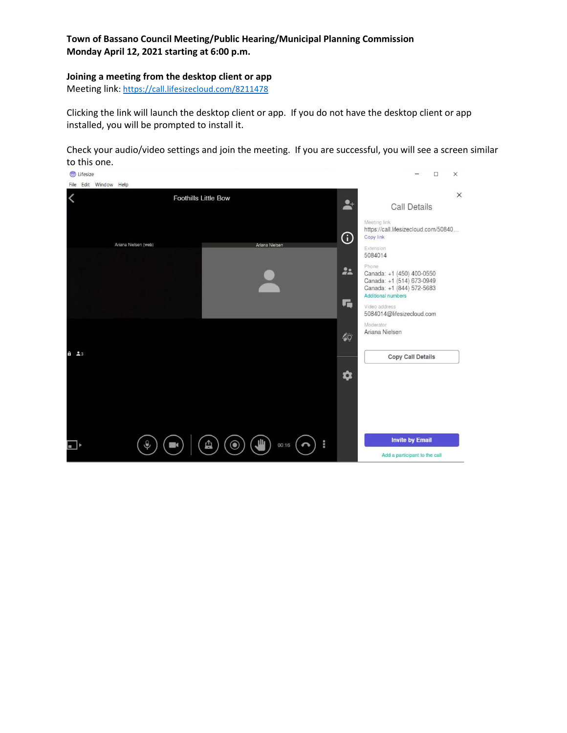### **Joining a meeting from the desktop client or app**

Meeting link:<https://call.lifesizecloud.com/8211478>

Clicking the link will launch the desktop client or app. If you do not have the desktop client or app installed, you will be prompted to install it.

Check your audio/video settings and join the meeting. If you are successful, you will see a screen similar to this one.

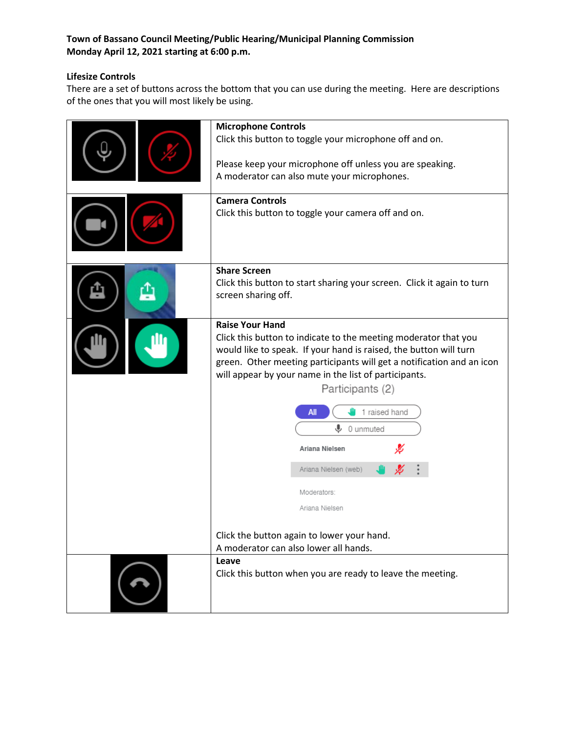### **Lifesize Controls**

There are a set of buttons across the bottom that you can use during the meeting. Here are descriptions of the ones that you will most likely be using.

| <b>Microphone Controls</b><br>Click this button to toggle your microphone off and on.<br>Please keep your microphone off unless you are speaking.<br>A moderator can also mute your microphones.<br><b>Camera Controls</b><br>Click this button to toggle your camera off and on.                                                                                                                                                                                                                                                |  |  |
|----------------------------------------------------------------------------------------------------------------------------------------------------------------------------------------------------------------------------------------------------------------------------------------------------------------------------------------------------------------------------------------------------------------------------------------------------------------------------------------------------------------------------------|--|--|
| <b>Share Screen</b><br>Click this button to start sharing your screen. Click it again to turn<br>screen sharing off.                                                                                                                                                                                                                                                                                                                                                                                                             |  |  |
| <b>Raise Your Hand</b><br>Click this button to indicate to the meeting moderator that you<br>would like to speak. If your hand is raised, the button will turn<br>green. Other meeting participants will get a notification and an icon<br>will appear by your name in the list of participants.<br>Participants (2)<br>1 raised hand<br>All<br>⋓<br>0 unmuted<br>Ariana Nielsen<br>Ariana Nielsen (web)<br>Moderators:<br>Ariana Nielsen<br>Click the button again to lower your hand.<br>A moderator can also lower all hands. |  |  |
| Leave<br>Click this button when you are ready to leave the meeting.                                                                                                                                                                                                                                                                                                                                                                                                                                                              |  |  |